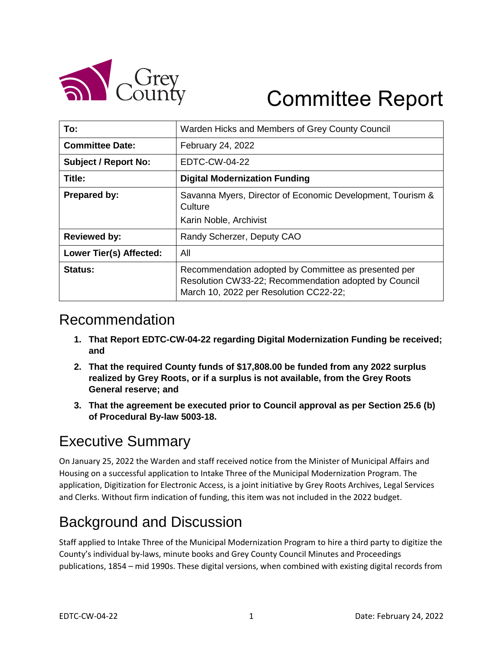

# Committee Report

| To:                         | Warden Hicks and Members of Grey County Council                                                                                                         |
|-----------------------------|---------------------------------------------------------------------------------------------------------------------------------------------------------|
| <b>Committee Date:</b>      | February 24, 2022                                                                                                                                       |
| <b>Subject / Report No:</b> | EDTC-CW-04-22                                                                                                                                           |
| Title:                      | <b>Digital Modernization Funding</b>                                                                                                                    |
| <b>Prepared by:</b>         | Savanna Myers, Director of Economic Development, Tourism &<br>Culture<br>Karin Noble, Archivist                                                         |
|                             |                                                                                                                                                         |
| <b>Reviewed by:</b>         | Randy Scherzer, Deputy CAO                                                                                                                              |
| Lower Tier(s) Affected:     | All                                                                                                                                                     |
| Status:                     | Recommendation adopted by Committee as presented per<br>Resolution CW33-22; Recommendation adopted by Council<br>March 10, 2022 per Resolution CC22-22; |

#### Recommendation

- **1. That Report EDTC-CW-04-22 regarding Digital Modernization Funding be received; and**
- **2. That the required County funds of \$17,808.00 be funded from any 2022 surplus realized by Grey Roots, or if a surplus is not available, from the Grey Roots General reserve; and**
- **3. That the agreement be executed prior to Council approval as per Section 25.6 (b) of Procedural By-law 5003-18.**

# Executive Summary

On January 25, 2022 the Warden and staff received notice from the Minister of Municipal Affairs and Housing on a successful application to Intake Three of the Municipal Modernization Program. The application, Digitization for Electronic Access, is a joint initiative by Grey Roots Archives, Legal Services and Clerks. Without firm indication of funding, this item was not included in the 2022 budget.

# Background and Discussion

Staff applied to Intake Three of the Municipal Modernization Program to hire a third party to digitize the County's individual by-laws, minute books and Grey County Council Minutes and Proceedings publications, 1854 – mid 1990s. These digital versions, when combined with existing digital records from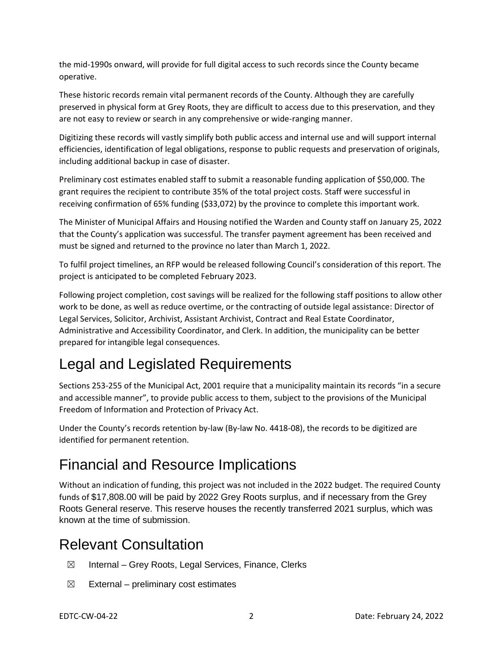the mid-1990s onward, will provide for full digital access to such records since the County became operative.

These historic records remain vital permanent records of the County. Although they are carefully preserved in physical form at Grey Roots, they are difficult to access due to this preservation, and they are not easy to review or search in any comprehensive or wide-ranging manner.

Digitizing these records will vastly simplify both public access and internal use and will support internal efficiencies, identification of legal obligations, response to public requests and preservation of originals, including additional backup in case of disaster.

Preliminary cost estimates enabled staff to submit a reasonable funding application of \$50,000. The grant requires the recipient to contribute 35% of the total project costs. Staff were successful in receiving confirmation of 65% funding (\$33,072) by the province to complete this important work.

The Minister of Municipal Affairs and Housing notified the Warden and County staff on January 25, 2022 that the County's application was successful. The transfer payment agreement has been received and must be signed and returned to the province no later than March 1, 2022.

To fulfil project timelines, an RFP would be released following Council's consideration of this report. The project is anticipated to be completed February 2023.

Following project completion, cost savings will be realized for the following staff positions to allow other work to be done, as well as reduce overtime, or the contracting of outside legal assistance: Director of Legal Services, Solicitor, Archivist, Assistant Archivist, Contract and Real Estate Coordinator, Administrative and Accessibility Coordinator, and Clerk. In addition, the municipality can be better prepared for intangible legal consequences.

# Legal and Legislated Requirements

Sections 253-255 of the Municipal Act, 2001 require that a municipality maintain its records "in a secure and accessible manner", to provide public access to them, subject to the provisions of the Municipal Freedom of Information and Protection of Privacy Act.

Under the County's records retention by-law (By-law No. 4418-08), the records to be digitized are identified for permanent retention.

# Financial and Resource Implications

Without an indication of funding, this project was not included in the 2022 budget. The required County funds of \$17,808.00 will be paid by 2022 Grey Roots surplus, and if necessary from the Grey Roots General reserve. This reserve houses the recently transferred 2021 surplus, which was known at the time of submission.

#### Relevant Consultation

- $\boxtimes$  Internal Grey Roots, Legal Services, Finance, Clerks
- $\boxtimes$  External preliminary cost estimates